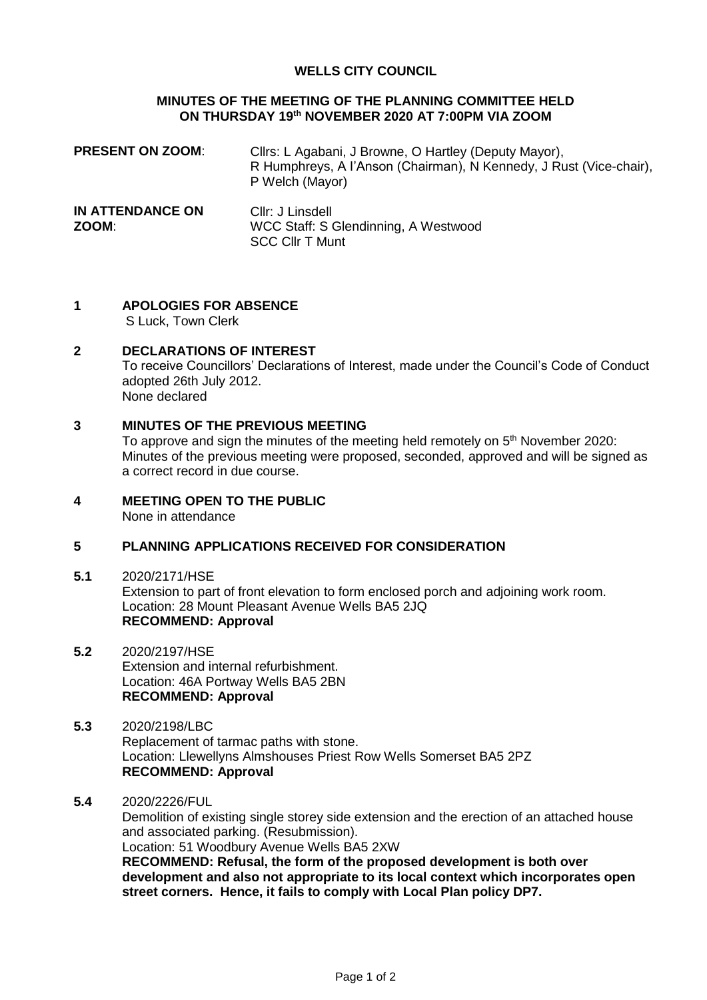#### **WELLS CITY COUNCIL**

#### **MINUTES OF THE MEETING OF THE PLANNING COMMITTEE HELD ON THURSDAY 19th NOVEMBER 2020 AT 7:00PM VIA ZOOM**

| <b>PRESENT ON ZOOM:</b>   | Cllrs: L Agabani, J Browne, O Hartley (Deputy Mayor),<br>R Humphreys, A l'Anson (Chairman), N Kennedy, J Rust (Vice-chair),<br>P Welch (Mayor) |
|---------------------------|------------------------------------------------------------------------------------------------------------------------------------------------|
| IN ATTENDANCE ON<br>ZOOM: | Cllr: J Linsdell<br>WCC Staff: S Glendinning, A Westwood<br><b>SCC Cllr T Munt</b>                                                             |

# **1 APOLOGIES FOR ABSENCE**

S Luck, Town Clerk

#### **2 DECLARATIONS OF INTEREST**

To receive Councillors' Declarations of Interest, made under the Council's Code of Conduct adopted 26th July 2012. None declared

#### **3 MINUTES OF THE PREVIOUS MEETING**

To approve and sign the minutes of the meeting held remotely on 5<sup>th</sup> November 2020: Minutes of the previous meeting were proposed, seconded, approved and will be signed as a correct record in due course.

# **4 MEETING OPEN TO THE PUBLIC**

None in attendance

#### **5 PLANNING APPLICATIONS RECEIVED FOR CONSIDERATION**

- **5.1** 2020/2171/HSE Extension to part of front elevation to form enclosed porch and adjoining work room. Location: 28 Mount Pleasant Avenue Wells BA5 2JQ **RECOMMEND: Approval**
- **5.2** 2020/2197/HSE Extension and internal refurbishment. Location: 46A Portway Wells BA5 2BN **RECOMMEND: Approval**
- **5.3** 2020/2198/LBC Replacement of tarmac paths with stone. Location: Llewellyns Almshouses Priest Row Wells Somerset BA5 2PZ **RECOMMEND: Approval**
- **5.4** 2020/2226/FUL

Demolition of existing single storey side extension and the erection of an attached house and associated parking. (Resubmission). Location: 51 Woodbury Avenue Wells BA5 2XW **RECOMMEND: Refusal, the form of the proposed development is both over** 

**development and also not appropriate to its local context which incorporates open street corners. Hence, it fails to comply with Local Plan policy DP7.**